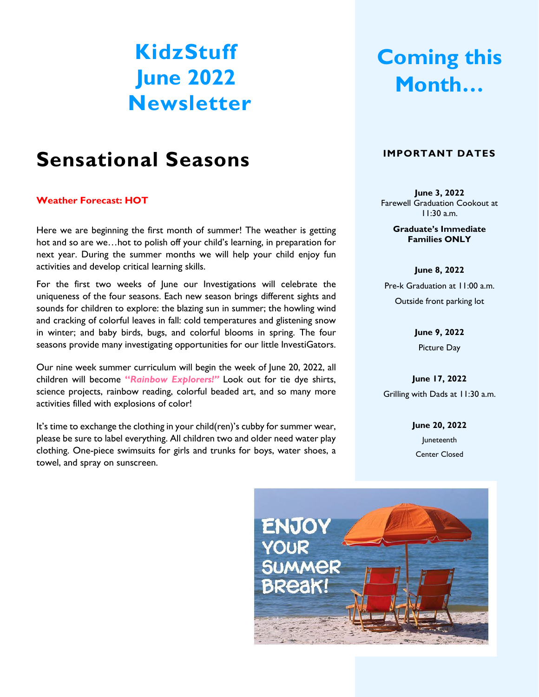# **KidzStuff June 2022 Newsletter**

## **Sensational Seasons**

#### **Weather Forecast: HOT**

Here we are beginning the first month of summer! The weather is getting hot and so are we…hot to polish off your child's learning, in preparation for next year. During the summer months we will help your child enjoy fun activities and develop critical learning skills.

For the first two weeks of June our Investigations will celebrate the uniqueness of the four seasons. Each new season brings different sights and sounds for children to explore: the blazing sun in summer; the howling wind and cracking of colorful leaves in fall: cold temperatures and glistening snow in winter; and baby birds, bugs, and colorful blooms in spring. The four seasons provide many investigating opportunities for our little InvestiGators.

Our nine week summer curriculum will begin the week of June 20, 2022, all children will become **"***Rainbow Explorers!"* Look out for tie dye shirts, science projects, rainbow reading, colorful beaded art, and so many more activities filled with explosions of color!

It's time to exchange the clothing in your child(ren)'s cubby for summer wear, please be sure to label everything. All children two and older need water play clothing. One-piece swimsuits for girls and trunks for boys, water shoes, a towel, and spray on sunscreen.

# **Coming this Month…**

#### **IMPORTANT DATES**

**June 3, 2022** Farewell Graduation Cookout at 11:30 a.m.

> **Graduate's Immediate Families ONLY**

**June 8, 2022** Pre-k Graduation at 11:00 a.m. Outside front parking lot

> **June 9, 2022** Picture Day

**June 17, 2022** Grilling with Dads at 11:30 a.m.

> **June 20, 2022** Juneteenth Center Closed